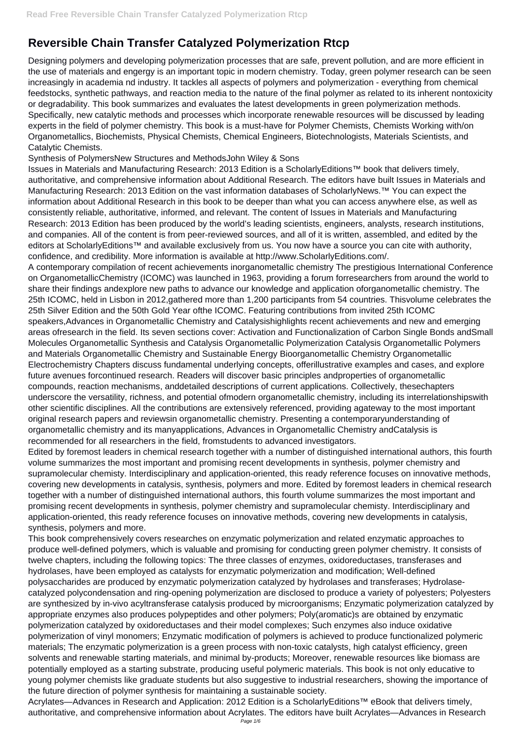## **Reversible Chain Transfer Catalyzed Polymerization Rtcp**

Designing polymers and developing polymerization processes that are safe, prevent pollution, and are more efficient in the use of materials and engergy is an important topic in modern chemistry. Today, green polymer research can be seen increasingly in academia nd industry. It tackles all aspects of polymers and polymerization - everything from chemical feedstocks, synthetic pathways, and reaction media to the nature of the final polymer as related to its inherent nontoxicity or degradability. This book summarizes and evaluates the latest developments in green polymerization methods. Specifically, new catalytic methods and processes which incorporate renewable resources will be discussed by leading experts in the field of polymer chemistry. This book is a must-have for Polymer Chemists, Chemists Working with/on Organometallics, Biochemists, Physical Chemists, Chemical Engineers, Biotechnologists, Materials Scientists, and Catalytic Chemists.

Synthesis of PolymersNew Structures and MethodsJohn Wiley & Sons

Issues in Materials and Manufacturing Research: 2013 Edition is a ScholarlyEditions™ book that delivers timely, authoritative, and comprehensive information about Additional Research. The editors have built Issues in Materials and Manufacturing Research: 2013 Edition on the vast information databases of ScholarlyNews.™ You can expect the information about Additional Research in this book to be deeper than what you can access anywhere else, as well as consistently reliable, authoritative, informed, and relevant. The content of Issues in Materials and Manufacturing Research: 2013 Edition has been produced by the world's leading scientists, engineers, analysts, research institutions, and companies. All of the content is from peer-reviewed sources, and all of it is written, assembled, and edited by the editors at ScholarlyEditions™ and available exclusively from us. You now have a source you can cite with authority, confidence, and credibility. More information is available at http://www.ScholarlyEditions.com/.

A contemporary compilation of recent achievements inorganometallic chemistry The prestigious International Conference on OrganometallicChemistry (ICOMC) was launched in 1963, providing a forum forresearchers from around the world to share their findings andexplore new paths to advance our knowledge and application oforganometallic chemistry. The 25th ICOMC, held in Lisbon in 2012,gathered more than 1,200 participants from 54 countries. Thisvolume celebrates the 25th Silver Edition and the 50th Gold Year ofthe ICOMC. Featuring contributions from invited 25th ICOMC speakers,Advances in Organometallic Chemistry and Catalysishighlights recent achievements and new and emerging areas ofresearch in the field. Its seven sections cover: Activation and Functionalization of Carbon Single Bonds andSmall Molecules Organometallic Synthesis and Catalysis Organometallic Polymerization Catalysis Organometallic Polymers and Materials Organometallic Chemistry and Sustainable Energy Bioorganometallic Chemistry Organometallic Electrochemistry Chapters discuss fundamental underlying concepts, offerillustrative examples and cases, and explore future avenues forcontinued research. Readers will discover basic principles andproperties of organometallic compounds, reaction mechanisms, anddetailed descriptions of current applications. Collectively, thesechapters underscore the versatility, richness, and potential ofmodern organometallic chemistry, including its interrelationshipswith other scientific disciplines. All the contributions are extensively referenced, providing agateway to the most important original research papers and reviewsin organometallic chemistry. Presenting a contemporaryunderstanding of organometallic chemistry and its manyapplications, Advances in Organometallic Chemistry andCatalysis is recommended for all researchers in the field, fromstudents to advanced investigators.

Edited by foremost leaders in chemical research together with a number of distinguished international authors, this fourth volume summarizes the most important and promising recent developments in synthesis, polymer chemistry and supramolecular chemisty. Interdisciplinary and application-oriented, this ready reference focuses on innovative methods, covering new developments in catalysis, synthesis, polymers and more. Edited by foremost leaders in chemical research together with a number of distinguished international authors, this fourth volume summarizes the most important and promising recent developments in synthesis, polymer chemistry and supramolecular chemisty. Interdisciplinary and application-oriented, this ready reference focuses on innovative methods, covering new developments in catalysis, synthesis, polymers and more.

This book comprehensively covers researches on enzymatic polymerization and related enzymatic approaches to produce well-defined polymers, which is valuable and promising for conducting green polymer chemistry. It consists of twelve chapters, including the following topics: The three classes of enzymes, oxidoreductases, transferases and hydrolases, have been employed as catalysts for enzymatic polymerization and modification; Well-defined polysaccharides are produced by enzymatic polymerization catalyzed by hydrolases and transferases; Hydrolasecatalyzed polycondensation and ring-opening polymerization are disclosed to produce a variety of polyesters; Polyesters are synthesized by in-vivo acyltransferase catalysis produced by microorganisms; Enzymatic polymerization catalyzed by appropriate enzymes also produces polypeptides and other polymers; Poly(aromatic)s are obtained by enzymatic polymerization catalyzed by oxidoreductases and their model complexes; Such enzymes also induce oxidative polymerization of vinyl monomers; Enzymatic modification of polymers is achieved to produce functionalized polymeric materials; The enzymatic polymerization is a green process with non-toxic catalysts, high catalyst efficiency, green solvents and renewable starting materials, and minimal by-products; Moreover, renewable resources like biomass are potentially employed as a starting substrate, producing useful polymeric materials. This book is not only educative to young polymer chemists like graduate students but also suggestive to industrial researchers, showing the importance of the future direction of polymer synthesis for maintaining a sustainable society. Acrylates—Advances in Research and Application: 2012 Edition is a ScholarlyEditions™ eBook that delivers timely, authoritative, and comprehensive information about Acrylates. The editors have built Acrylates—Advances in Research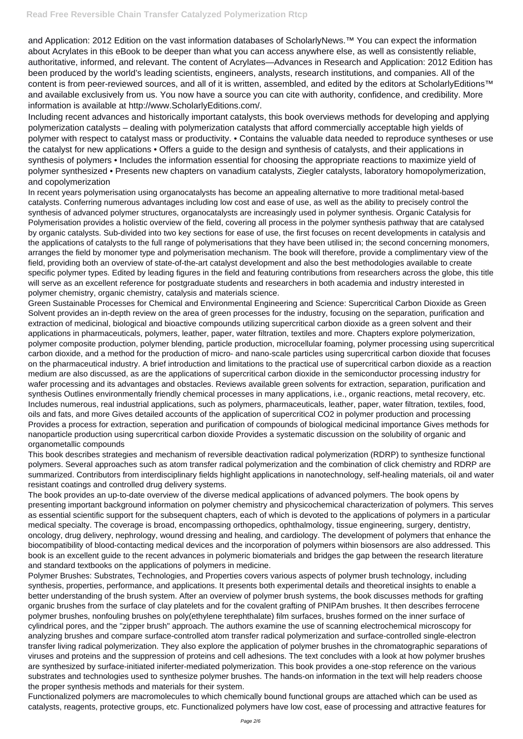and Application: 2012 Edition on the vast information databases of ScholarlyNews.™ You can expect the information about Acrylates in this eBook to be deeper than what you can access anywhere else, as well as consistently reliable, authoritative, informed, and relevant. The content of Acrylates—Advances in Research and Application: 2012 Edition has been produced by the world's leading scientists, engineers, analysts, research institutions, and companies. All of the content is from peer-reviewed sources, and all of it is written, assembled, and edited by the editors at ScholarlyEditions™ and available exclusively from us. You now have a source you can cite with authority, confidence, and credibility. More information is available at http://www.ScholarlyEditions.com/.

Including recent advances and historically important catalysts, this book overviews methods for developing and applying polymerization catalysts – dealing with polymerization catalysts that afford commercially acceptable high yields of polymer with respect to catalyst mass or productivity. • Contains the valuable data needed to reproduce syntheses or use the catalyst for new applications • Offers a guide to the design and synthesis of catalysts, and their applications in synthesis of polymers • Includes the information essential for choosing the appropriate reactions to maximize yield of polymer synthesized • Presents new chapters on vanadium catalysts, Ziegler catalysts, laboratory homopolymerization, and copolymerization

In recent years polymerisation using organocatalysts has become an appealing alternative to more traditional metal-based catalysts. Conferring numerous advantages including low cost and ease of use, as well as the ability to precisely control the synthesis of advanced polymer structures, organocatalysts are increasingly used in polymer synthesis. Organic Catalysis for Polymerisation provides a holistic overview of the field, covering all process in the polymer synthesis pathway that are catalysed by organic catalysts. Sub-divided into two key sections for ease of use, the first focuses on recent developments in catalysis and the applications of catalysts to the full range of polymerisations that they have been utilised in; the second concerning monomers, arranges the field by monomer type and polymerisation mechanism. The book will therefore, provide a complimentary view of the field, providing both an overview of state-of-the-art catalyst development and also the best methodologies available to create specific polymer types. Edited by leading figures in the field and featuring contributions from researchers across the globe, this title will serve as an excellent reference for postgraduate students and researchers in both academia and industry interested in polymer chemistry, organic chemistry, catalysis and materials science.

Green Sustainable Processes for Chemical and Environmental Engineering and Science: Supercritical Carbon Dioxide as Green Solvent provides an in-depth review on the area of green processes for the industry, focusing on the separation, purification and extraction of medicinal, biological and bioactive compounds utilizing supercritical carbon dioxide as a green solvent and their applications in pharmaceuticals, polymers, leather, paper, water filtration, textiles and more. Chapters explore polymerization, polymer composite production, polymer blending, particle production, microcellular foaming, polymer processing using supercritical carbon dioxide, and a method for the production of micro- and nano-scale particles using supercritical carbon dioxide that focuses on the pharmaceutical industry. A brief introduction and limitations to the practical use of supercritical carbon dioxide as a reaction medium are also discussed, as are the applications of supercritical carbon dioxide in the semiconductor processing industry for wafer processing and its advantages and obstacles. Reviews available green solvents for extraction, separation, purification and synthesis Outlines environmentally friendly chemical processes in many applications, i.e., organic reactions, metal recovery, etc. Includes numerous, real industrial applications, such as polymers, pharmaceuticals, leather, paper, water filtration, textiles, food, oils and fats, and more Gives detailed accounts of the application of supercritical CO2 in polymer production and processing Provides a process for extraction, seperation and purification of compounds of biological medicinal importance Gives methods for nanoparticle production using supercritical carbon dioxide Provides a systematic discussion on the solubility of organic and organometallic compounds

This book describes strategies and mechanism of reversible deactivation radical polymerization (RDRP) to synthesize functional polymers. Several approaches such as atom transfer radical polymerization and the combination of click chemistry and RDRP are summarized. Contributors from interdisciplinary fields highlight applications in nanotechnology, self-healing materials, oil and water resistant coatings and controlled drug delivery systems.

The book provides an up-to-date overview of the diverse medical applications of advanced polymers. The book opens by presenting important background information on polymer chemistry and physicochemical characterization of polymers. This serves as essential scientific support for the subsequent chapters, each of which is devoted to the applications of polymers in a particular medical specialty. The coverage is broad, encompassing orthopedics, ophthalmology, tissue engineering, surgery, dentistry, oncology, drug delivery, nephrology, wound dressing and healing, and cardiology. The development of polymers that enhance the biocompatibility of blood-contacting medical devices and the incorporation of polymers within biosensors are also addressed. This book is an excellent guide to the recent advances in polymeric biomaterials and bridges the gap between the research literature and standard textbooks on the applications of polymers in medicine. Polymer Brushes: Substrates, Technologies, and Properties covers various aspects of polymer brush technology, including synthesis, properties, performance, and applications. It presents both experimental details and theoretical insights to enable a better understanding of the brush system. After an overview of polymer brush systems, the book discusses methods for grafting organic brushes from the surface of clay platelets and for the covalent grafting of PNIPAm brushes. It then describes ferrocene polymer brushes, nonfouling brushes on poly(ethylene terephthalate) film surfaces, brushes formed on the inner surface of cylindrical pores, and the "zipper brush" approach. The authors examine the use of scanning electrochemical microscopy for analyzing brushes and compare surface-controlled atom transfer radical polymerization and surface-controlled single-electron transfer living radical polymerization. They also explore the application of polymer brushes in the chromatographic separations of viruses and proteins and the suppression of proteins and cell adhesions. The text concludes with a look at how polymer brushes are synthesized by surface-initiated iniferter-mediated polymerization. This book provides a one-stop reference on the various substrates and technologies used to synthesize polymer brushes. The hands-on information in the text will help readers choose the proper synthesis methods and materials for their system. Functionalized polymers are macromolecules to which chemically bound functional groups are attached which can be used as catalysts, reagents, protective groups, etc. Functionalized polymers have low cost, ease of processing and attractive features for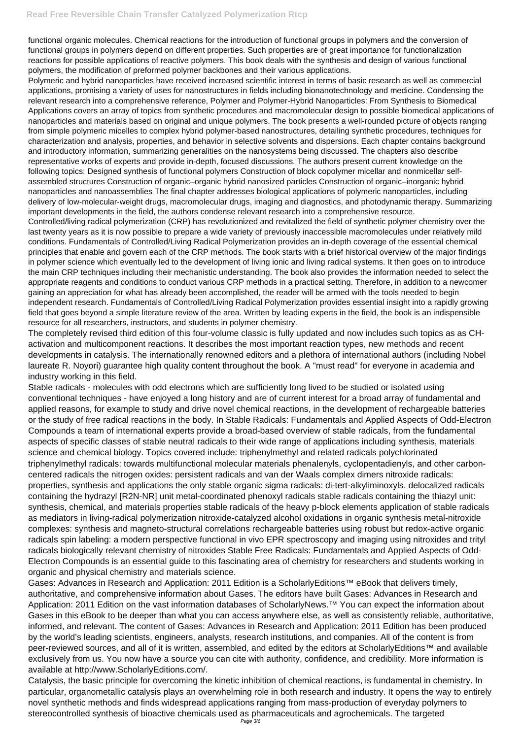functional organic molecules. Chemical reactions for the introduction of functional groups in polymers and the conversion of functional groups in polymers depend on different properties. Such properties are of great importance for functionalization reactions for possible applications of reactive polymers. This book deals with the synthesis and design of various functional polymers, the modification of preformed polymer backbones and their various applications.

Polymeric and hybrid nanoparticles have received increased scientific interest in terms of basic research as well as commercial applications, promising a variety of uses for nanostructures in fields including bionanotechnology and medicine. Condensing the relevant research into a comprehensive reference, Polymer and Polymer-Hybrid Nanoparticles: From Synthesis to Biomedical Applications covers an array of topics from synthetic procedures and macromolecular design to possible biomedical applications of nanoparticles and materials based on original and unique polymers. The book presents a well-rounded picture of objects ranging from simple polymeric micelles to complex hybrid polymer-based nanostructures, detailing synthetic procedures, techniques for characterization and analysis, properties, and behavior in selective solvents and dispersions. Each chapter contains background and introductory information, summarizing generalities on the nanosystems being discussed. The chapters also describe representative works of experts and provide in-depth, focused discussions. The authors present current knowledge on the following topics: Designed synthesis of functional polymers Construction of block copolymer micellar and nonmicellar selfassembled structures Construction of organic–organic hybrid nanosized particles Construction of organic–inorganic hybrid nanoparticles and nanoassemblies The final chapter addresses biological applications of polymeric nanoparticles, including delivery of low-molecular-weight drugs, macromolecular drugs, imaging and diagnostics, and photodynamic therapy. Summarizing important developments in the field, the authors condense relevant research into a comprehensive resource.

Controlled/living radical polymerization (CRP) has revolutionized and revitalized the field of synthetic polymer chemistry over the last twenty years as it is now possible to prepare a wide variety of previously inaccessible macromolecules under relatively mild conditions. Fundamentals of Controlled/Living Radical Polymerization provides an in-depth coverage of the essential chemical principles that enable and govern each of the CRP methods. The book starts with a brief historical overview of the major findings in polymer science which eventually led to the development of living ionic and living radical systems. It then goes on to introduce the main CRP techniques including their mechanistic understanding. The book also provides the information needed to select the appropriate reagents and conditions to conduct various CRP methods in a practical setting. Therefore, in addition to a newcomer gaining an appreciation for what has already been accomplished, the reader will be armed with the tools needed to begin independent research. Fundamentals of Controlled/Living Radical Polymerization provides essential insight into a rapidly growing field that goes beyond a simple literature review of the area. Written by leading experts in the field, the book is an indispensible resource for all researchers, instructors, and students in polymer chemistry.

The completely revised third edition of this four-volume classic is fully updated and now includes such topics as as CHactivation and multicomponent reactions. It describes the most important reaction types, new methods and recent developments in catalysis. The internationally renowned editors and a plethora of international authors (including Nobel laureate R. Noyori) guarantee high quality content throughout the book. A "must read" for everyone in academia and industry working in this field.

Stable radicals - molecules with odd electrons which are sufficiently long lived to be studied or isolated using conventional techniques - have enjoyed a long history and are of current interest for a broad array of fundamental and applied reasons, for example to study and drive novel chemical reactions, in the development of rechargeable batteries or the study of free radical reactions in the body. In Stable Radicals: Fundamentals and Applied Aspects of Odd-Electron Compounds a team of international experts provide a broad-based overview of stable radicals, from the fundamental aspects of specific classes of stable neutral radicals to their wide range of applications including synthesis, materials science and chemical biology. Topics covered include: triphenylmethyl and related radicals polychlorinated triphenylmethyl radicals: towards multifunctional molecular materials phenalenyls, cyclopentadienyls, and other carboncentered radicals the nitrogen oxides: persistent radicals and van der Waals complex dimers nitroxide radicals: properties, synthesis and applications the only stable organic sigma radicals: di-tert-alkyliminoxyls. delocalized radicals containing the hydrazyl [R2N-NR] unit metal-coordinated phenoxyl radicals stable radicals containing the thiazyl unit: synthesis, chemical, and materials properties stable radicals of the heavy p-block elements application of stable radicals as mediators in living-radical polymerization nitroxide-catalyzed alcohol oxidations in organic synthesis metal-nitroxide complexes: synthesis and magneto-structural correlations rechargeable batteries using robust but redox-active organic radicals spin labeling: a modern perspective functional in vivo EPR spectroscopy and imaging using nitroxides and trityl radicals biologically relevant chemistry of nitroxides Stable Free Radicals: Fundamentals and Applied Aspects of Odd-Electron Compounds is an essential guide to this fascinating area of chemistry for researchers and students working in organic and physical chemistry and materials science. Gases: Advances in Research and Application: 2011 Edition is a ScholarlyEditions™ eBook that delivers timely, authoritative, and comprehensive information about Gases. The editors have built Gases: Advances in Research and Application: 2011 Edition on the vast information databases of ScholarlyNews.™ You can expect the information about Gases in this eBook to be deeper than what you can access anywhere else, as well as consistently reliable, authoritative, informed, and relevant. The content of Gases: Advances in Research and Application: 2011 Edition has been produced by the world's leading scientists, engineers, analysts, research institutions, and companies. All of the content is from peer-reviewed sources, and all of it is written, assembled, and edited by the editors at ScholarlyEditions™ and available exclusively from us. You now have a source you can cite with authority, confidence, and credibility. More information is available at http://www.ScholarlyEditions.com/.

Catalysis, the basic principle for overcoming the kinetic inhibition of chemical reactions, is fundamental in chemistry. In particular, organometallic catalysis plays an overwhelming role in both research and industry. It opens the way to entirely novel synthetic methods and finds widespread applications ranging from mass-production of everyday polymers to stereocontrolled synthesis of bioactive chemicals used as pharmaceuticals and agrochemicals. The targeted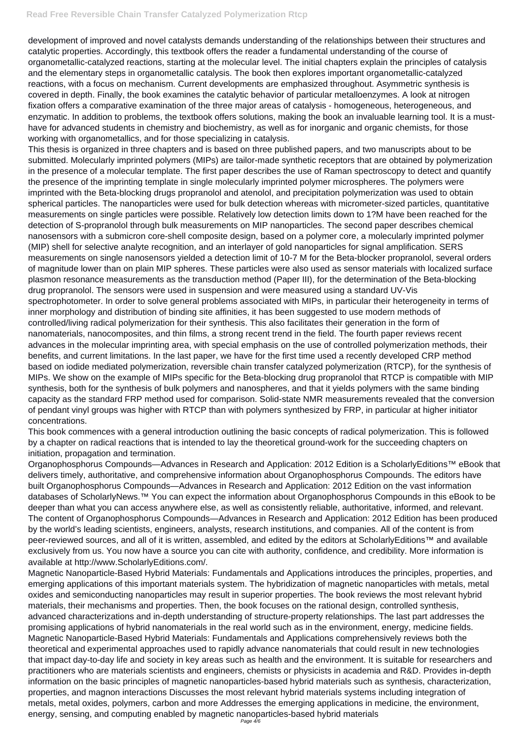development of improved and novel catalysts demands understanding of the relationships between their structures and catalytic properties. Accordingly, this textbook offers the reader a fundamental understanding of the course of organometallic-catalyzed reactions, starting at the molecular level. The initial chapters explain the principles of catalysis and the elementary steps in organometallic catalysis. The book then explores important organometallic-catalyzed reactions, with a focus on mechanism. Current developments are emphasized throughout. Asymmetric synthesis is covered in depth. Finally, the book examines the catalytic behavior of particular metalloenzymes. A look at nitrogen fixation offers a comparative examination of the three major areas of catalysis - homogeneous, heterogeneous, and enzymatic. In addition to problems, the textbook offers solutions, making the book an invaluable learning tool. It is a musthave for advanced students in chemistry and biochemistry, as well as for inorganic and organic chemists, for those working with organometallics, and for those specializing in catalysis.

This thesis is organized in three chapters and is based on three published papers, and two manuscripts about to be submitted. Molecularly imprinted polymers (MIPs) are tailor-made synthetic receptors that are obtained by polymerization in the presence of a molecular template. The first paper describes the use of Raman spectroscopy to detect and quantify the presence of the imprinting template in single molecularly imprinted polymer microspheres. The polymers were imprinted with the Beta-blocking drugs propranolol and atenolol, and precipitation polymerization was used to obtain spherical particles. The nanoparticles were used for bulk detection whereas with micrometer-sized particles, quantitative measurements on single particles were possible. Relatively low detection limits down to 1?M have been reached for the detection of S-propranolol through bulk measurements on MIP nanoparticles. The second paper describes chemical nanosensors with a submicron core-shell composite design, based on a polymer core, a molecularly imprinted polymer (MIP) shell for selective analyte recognition, and an interlayer of gold nanoparticles for signal amplification. SERS measurements on single nanosensors yielded a detection limit of 10-7 M for the Beta-blocker propranolol, several orders of magnitude lower than on plain MIP spheres. These particles were also used as sensor materials with localized surface plasmon resonance measurements as the transduction method (Paper III), for the determination of the Beta-blocking drug propranolol. The sensors were used in suspension and were measured using a standard UV-Vis spectrophotometer. In order to solve general problems associated with MIPs, in particular their heterogeneity in terms of inner morphology and distribution of binding site affinities, it has been suggested to use modern methods of controlled/living radical polymerization for their synthesis. This also facilitates their generation in the form of nanomaterials, nanocomposites, and thin films, a strong recent trend in the field. The fourth paper reviews recent advances in the molecular imprinting area, with special emphasis on the use of controlled polymerization methods, their benefits, and current limitations. In the last paper, we have for the first time used a recently developed CRP method based on iodide mediated polymerization, reversible chain transfer catalyzed polymerization (RTCP), for the synthesis of MIPs. We show on the example of MIPs specific for the Beta-blocking drug propranolol that RTCP is compatible with MIP synthesis, both for the synthesis of bulk polymers and nanospheres, and that it yields polymers with the same binding capacity as the standard FRP method used for comparison. Solid-state NMR measurements revealed that the conversion of pendant vinyl groups was higher with RTCP than with polymers synthesized by FRP, in particular at higher initiator concentrations.

Magnetic Nanoparticle-Based Hybrid Materials: Fundamentals and Applications introduces the principles, properties, and emerging applications of this important materials system. The hybridization of magnetic nanoparticles with metals, metal oxides and semiconducting nanoparticles may result in superior properties. The book reviews the most relevant hybrid materials, their mechanisms and properties. Then, the book focuses on the rational design, controlled synthesis, advanced characterizations and in-depth understanding of structure-property relationships. The last part addresses the promising applications of hybrid nanomaterials in the real world such as in the environment, energy, medicine fields. Magnetic Nanoparticle-Based Hybrid Materials: Fundamentals and Applications comprehensively reviews both the theoretical and experimental approaches used to rapidly advance nanomaterials that could result in new technologies that impact day-to-day life and society in key areas such as health and the environment. It is suitable for researchers and practitioners who are materials scientists and engineers, chemists or physicists in academia and R&D. Provides in-depth information on the basic principles of magnetic nanoparticles-based hybrid materials such as synthesis, characterization, properties, and magnon interactions Discusses the most relevant hybrid materials systems including integration of metals, metal oxides, polymers, carbon and more Addresses the emerging applications in medicine, the environment, energy, sensing, and computing enabled by magnetic nanoparticles-based hybrid materials Page  $4/6$ 

This book commences with a general introduction outlining the basic concepts of radical polymerization. This is followed by a chapter on radical reactions that is intended to lay the theoretical ground-work for the succeeding chapters on initiation, propagation and termination.

Organophosphorus Compounds—Advances in Research and Application: 2012 Edition is a ScholarlyEditions™ eBook that delivers timely, authoritative, and comprehensive information about Organophosphorus Compounds. The editors have built Organophosphorus Compounds—Advances in Research and Application: 2012 Edition on the vast information databases of ScholarlyNews.™ You can expect the information about Organophosphorus Compounds in this eBook to be deeper than what you can access anywhere else, as well as consistently reliable, authoritative, informed, and relevant. The content of Organophosphorus Compounds—Advances in Research and Application: 2012 Edition has been produced by the world's leading scientists, engineers, analysts, research institutions, and companies. All of the content is from peer-reviewed sources, and all of it is written, assembled, and edited by the editors at ScholarlyEditions™ and available exclusively from us. You now have a source you can cite with authority, confidence, and credibility. More information is

available at http://www.ScholarlyEditions.com/.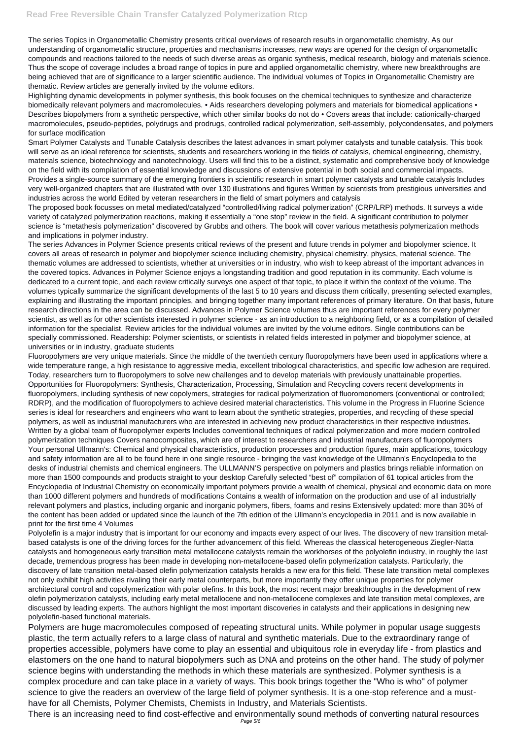The series Topics in Organometallic Chemistry presents critical overviews of research results in organometallic chemistry. As our understanding of organometallic structure, properties and mechanisms increases, new ways are opened for the design of organometallic compounds and reactions tailored to the needs of such diverse areas as organic synthesis, medical research, biology and materials science. Thus the scope of coverage includes a broad range of topics in pure and applied organometallic chemistry, where new breakthroughs are being achieved that are of significance to a larger scientific audience. The individual volumes of Topics in Organometallic Chemistry are thematic. Review articles are generally invited by the volume editors.

Highlighting dynamic developments in polymer synthesis, this book focuses on the chemical techniques to synthesize and characterize biomedically relevant polymers and macromolecules. • Aids researchers developing polymers and materials for biomedical applications • Describes biopolymers from a synthetic perspective, which other similar books do not do • Covers areas that include: cationically-charged macromolecules, pseudo-peptides, polydrugs and prodrugs, controlled radical polymerization, self-assembly, polycondensates, and polymers for surface modification

Smart Polymer Catalysts and Tunable Catalysis describes the latest advances in smart polymer catalysts and tunable catalysis. This book will serve as an ideal reference for scientists, students and researchers working in the fields of catalysis, chemical engineering, chemistry, materials science, biotechnology and nanotechnology. Users will find this to be a distinct, systematic and comprehensive body of knowledge on the field with its compilation of essential knowledge and discussions of extensive potential in both social and commercial impacts. Provides a single-source summary of the emerging frontiers in scientific research in smart polymer catalysts and tunable catalysis Includes very well-organized chapters that are illustrated with over 130 illustrations and figures Written by scientists from prestigious universities and industries across the world Edited by veteran researchers in the field of smart polymers and catalysis

The proposed book focusses on metal mediated/catalyzed "controlled/living radical polymerization" (CRP/LRP) methods. It surveys a wide variety of catalyzed polymerization reactions, making it essentially a "one stop" review in the field. A significant contribution to polymer science is "metathesis polymerization" discovered by Grubbs and others. The book will cover various metathesis polymerization methods and implications in polymer industry.

The series Advances in Polymer Science presents critical reviews of the present and future trends in polymer and biopolymer science. It covers all areas of research in polymer and biopolymer science including chemistry, physical chemistry, physics, material science. The thematic volumes are addressed to scientists, whether at universities or in industry, who wish to keep abreast of the important advances in the covered topics. Advances in Polymer Science enjoys a longstanding tradition and good reputation in its community. Each volume is dedicated to a current topic, and each review critically surveys one aspect of that topic, to place it within the context of the volume. The volumes typically summarize the significant developments of the last 5 to 10 years and discuss them critically, presenting selected examples, explaining and illustrating the important principles, and bringing together many important references of primary literature. On that basis, future research directions in the area can be discussed. Advances in Polymer Science volumes thus are important references for every polymer scientist, as well as for other scientists interested in polymer science - as an introduction to a neighboring field, or as a compilation of detailed information for the specialist. Review articles for the individual volumes are invited by the volume editors. Single contributions can be specially commissioned. Readership: Polymer scientists, or scientists in related fields interested in polymer and biopolymer science, at universities or in industry, graduate students

Fluoropolymers are very unique materials. Since the middle of the twentieth century fluoropolymers have been used in applications where a wide temperature range, a high resistance to aggressive media, excellent tribological characteristics, and specific low adhesion are required. Today, researchers turn to fluoropolymers to solve new challenges and to develop materials with previously unattainable properties. Opportunities for Fluoropolymers: Synthesis, Characterization, Processing, Simulation and Recycling covers recent developments in fluoropolymers, including synthesis of new copolymers, strategies for radical polymerization of fluoromonomers (conventional or controlled; RDRP), and the modification of fluoropolymers to achieve desired material characteristics. This volume in the Progress in Fluorine Science series is ideal for researchers and engineers who want to learn about the synthetic strategies, properties, and recycling of these special polymers, as well as industrial manufacturers who are interested in achieving new product characteristics in their respective industries. Written by a global team of fluoropolymer experts Includes conventional techniques of radical polymerization and more modern controlled polymerization techniques Covers nanocomposites, which are of interest to researchers and industrial manufacturers of fluoropolymers Your personal Ullmann's: Chemical and physical characteristics, production processes and production figures, main applications, toxicology and safety information are all to be found here in one single resource - bringing the vast knowledge of the Ullmann's Encyclopedia to the desks of industrial chemists and chemical engineers. The ULLMANN'S perspective on polymers and plastics brings reliable information on more than 1500 compounds and products straight to your desktop Carefully selected "best of" compilation of 61 topical articles from the Encyclopedia of Industrial Chemistry on economically important polymers provide a wealth of chemical, physical and economic data on more than 1000 different polymers and hundreds of modifications Contains a wealth of information on the production and use of all industrially relevant polymers and plastics, including organic and inorganic polymers, fibers, foams and resins Extensively updated: more than 30% of the content has been added or updated since the launch of the 7th edition of the Ullmann's encyclopedia in 2011 and is now available in print for the first time 4 Volumes

Polyolefin is a major industry that is important for our economy and impacts every aspect of our lives. The discovery of new transition metalbased catalysts is one of the driving forces for the further advancement of this field. Whereas the classical heterogeneous Ziegler-Natta catalysts and homogeneous early transition metal metallocene catalysts remain the workhorses of the polyolefin industry, in roughly the last decade, tremendous progress has been made in developing non-metallocene-based olefin polymerization catalysts. Particularly, the discovery of late transition metal-based olefin polymerization catalysts heralds a new era for this field. These late transition metal complexes not only exhibit high activities rivaling their early metal counterparts, but more importantly they offer unique properties for polymer architectural control and copolymerization with polar olefins. In this book, the most recent major breakthroughs in the development of new olefin polymerization catalysts, including early metal metallocene and non-metallocene complexes and late transition metal complexes, are discussed by leading experts. The authors highlight the most important discoveries in catalysts and their applications in designing new polyolefin-based functional materials. Polymers are huge macromolecules composed of repeating structural units. While polymer in popular usage suggests plastic, the term actually refers to a large class of natural and synthetic materials. Due to the extraordinary range of properties accessible, polymers have come to play an essential and ubiquitous role in everyday life - from plastics and elastomers on the one hand to natural biopolymers such as DNA and proteins on the other hand. The study of polymer science begins with understanding the methods in which these materials are synthesized. Polymer synthesis is a complex procedure and can take place in a variety of ways. This book brings together the "Who is who" of polymer science to give the readers an overview of the large field of polymer synthesis. It is a one-stop reference and a musthave for all Chemists, Polymer Chemists, Chemists in Industry, and Materials Scientists. There is an increasing need to find cost-effective and environmentally sound methods of converting natural resources